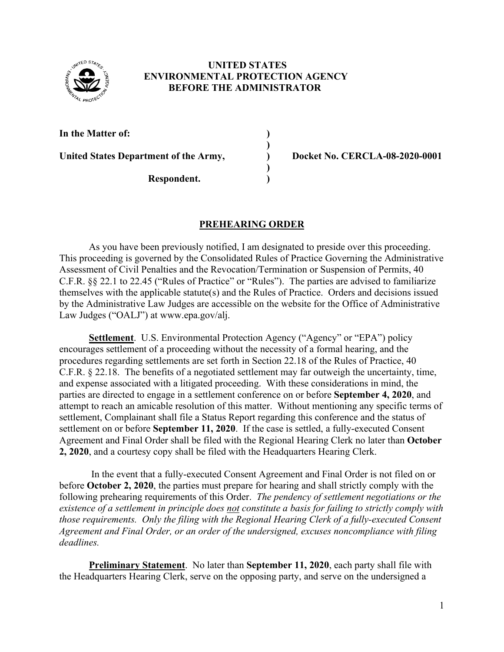

### **UNITED STATES ENVIRONMENTAL PROTECTION AGENCY BEFORE THE ADMINISTRATOR**

 **)** 

**In the Matter of: )** 

**Respondent. )** 

United States Department of the Army, Docket No. CERCLA-08-2020-0001

## **PREHEARING ORDER**

**)** 

As you have been previously notified, I am designated to preside over this proceeding. This proceeding is governed by the Consolidated Rules of Practice Governing the Administrative Assessment of Civil Penalties and the Revocation/Termination or Suspension of Permits, 40 C.F.R. §§ 22.1 to 22.45 ("Rules of Practice" or "Rules"). The parties are advised to familiarize themselves with the applicable statute(s) and the Rules of Practice. Orders and decisions issued by the Administrative Law Judges are accessible on the website for the Office of Administrative Law Judges ("OALJ") at www.epa.gov/alj.

**Settlement**. U.S. Environmental Protection Agency ("Agency" or "EPA") policy encourages settlement of a proceeding without the necessity of a formal hearing, and the procedures regarding settlements are set forth in Section 22.18 of the Rules of Practice, 40 C.F.R. § 22.18. The benefits of a negotiated settlement may far outweigh the uncertainty, time, and expense associated with a litigated proceeding. With these considerations in mind, the parties are directed to engage in a settlement conference on or before **September 4, 2020**, and attempt to reach an amicable resolution of this matter. Without mentioning any specific terms of settlement, Complainant shall file a Status Report regarding this conference and the status of settlement on or before **September 11, 2020**.If the case is settled, a fully-executed Consent Agreement and Final Order shall be filed with the Regional Hearing Clerk no later than **October 2, 2020**, and a courtesy copy shall be filed with the Headquarters Hearing Clerk.

In the event that a fully-executed Consent Agreement and Final Order is not filed on or before **October 2, 2020**, the parties must prepare for hearing and shall strictly comply with the following prehearing requirements of this Order. *The pendency of settlement negotiations or the existence of a settlement in principle does not constitute a basis for failing to strictly comply with those requirements. Only the filing with the Regional Hearing Clerk of a fully-executed Consent Agreement and Final Order, or an order of the undersigned, excuses noncompliance with filing deadlines.* 

**Preliminary Statement**. No later than **September 11, 2020**, each party shall file with the Headquarters Hearing Clerk, serve on the opposing party, and serve on the undersigned a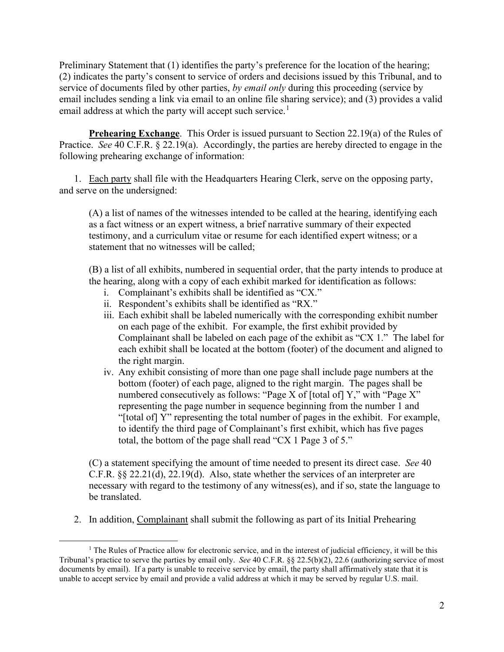Preliminary Statement that (1) identifies the party's preference for the location of the hearing; (2) indicates the party's consent to service of orders and decisions issued by this Tribunal, and to service of documents filed by other parties, *by email only* during this proceeding (service by email includes sending a link via email to an online file sharing service); and (3) provides a valid email address at which the party will accept such service.<sup>1</sup>

**Prehearing Exchange.** This Order is issued pursuant to Section 22.19(a) of the Rules of Practice. *See* 40 C.F.R. § 22.19(a). Accordingly, the parties are hereby directed to engage in the following prehearing exchange of information:

 1. Each party shall file with the Headquarters Hearing Clerk, serve on the opposing party, and serve on the undersigned:

(A) a list of names of the witnesses intended to be called at the hearing, identifying each as a fact witness or an expert witness, a brief narrative summary of their expected testimony, and a curriculum vitae or resume for each identified expert witness; or a statement that no witnesses will be called;

(B) a list of all exhibits, numbered in sequential order, that the party intends to produce at the hearing, along with a copy of each exhibit marked for identification as follows:

- i. Complainant's exhibits shall be identified as "CX."
- ii. Respondent's exhibits shall be identified as "RX."
- iii. Each exhibit shall be labeled numerically with the corresponding exhibit number on each page of the exhibit. For example, the first exhibit provided by Complainant shall be labeled on each page of the exhibit as "CX 1." The label for each exhibit shall be located at the bottom (footer) of the document and aligned to the right margin.
- iv. Any exhibit consisting of more than one page shall include page numbers at the bottom (footer) of each page, aligned to the right margin. The pages shall be numbered consecutively as follows: "Page X of [total of] Y," with "Page X" representing the page number in sequence beginning from the number 1 and "[total of] Y" representing the total number of pages in the exhibit. For example, to identify the third page of Complainant's first exhibit, which has five pages total, the bottom of the page shall read "CX 1 Page 3 of 5."

(C) a statement specifying the amount of time needed to present its direct case. *See* 40 C.F.R. §§ 22.21(d), 22.19(d). Also, state whether the services of an interpreter are necessary with regard to the testimony of any witness(es), and if so, state the language to be translated.

2. In addition, Complainant shall submit the following as part of its Initial Prehearing

<sup>&</sup>lt;sup>1</sup> The Rules of Practice allow for electronic service, and in the interest of judicial efficiency, it will be this Tribunal's practice to serve the parties by email only. *See* 40 C.F.R. §§ 22.5(b)(2), 22.6 (authorizing service of most documents by email). If a party is unable to receive service by email, the party shall affirmatively state that it is unable to accept service by email and provide a valid address at which it may be served by regular U.S. mail.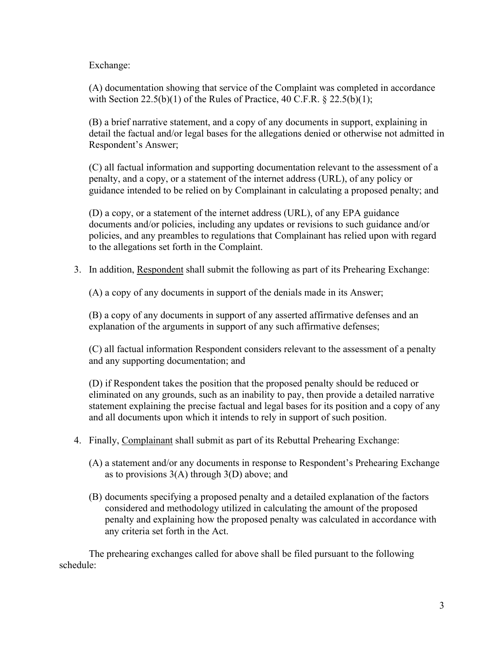Exchange:

(A) documentation showing that service of the Complaint was completed in accordance with Section  $22.5(b)(1)$  of the Rules of Practice, 40 C.F.R. § 22.5(b)(1);

(B) a brief narrative statement, and a copy of any documents in support, explaining in detail the factual and/or legal bases for the allegations denied or otherwise not admitted in Respondent's Answer;

(C) all factual information and supporting documentation relevant to the assessment of a penalty, and a copy, or a statement of the internet address (URL), of any policy or guidance intended to be relied on by Complainant in calculating a proposed penalty; and

(D) a copy, or a statement of the internet address (URL), of any EPA guidance documents and/or policies, including any updates or revisions to such guidance and/or policies, and any preambles to regulations that Complainant has relied upon with regard to the allegations set forth in the Complaint.

3. In addition, Respondent shall submit the following as part of its Prehearing Exchange:

(A) a copy of any documents in support of the denials made in its Answer;

(B) a copy of any documents in support of any asserted affirmative defenses and an explanation of the arguments in support of any such affirmative defenses;

(C) all factual information Respondent considers relevant to the assessment of a penalty and any supporting documentation; and

(D) if Respondent takes the position that the proposed penalty should be reduced or eliminated on any grounds, such as an inability to pay, then provide a detailed narrative statement explaining the precise factual and legal bases for its position and a copy of any and all documents upon which it intends to rely in support of such position.

- 4. Finally, Complainant shall submit as part of its Rebuttal Prehearing Exchange:
	- (A) a statement and/or any documents in response to Respondent's Prehearing Exchange as to provisions  $3(A)$  through  $3(D)$  above; and
	- (B) documents specifying a proposed penalty and a detailed explanation of the factors considered and methodology utilized in calculating the amount of the proposed penalty and explaining how the proposed penalty was calculated in accordance with any criteria set forth in the Act.

 The prehearing exchanges called for above shall be filed pursuant to the following schedule: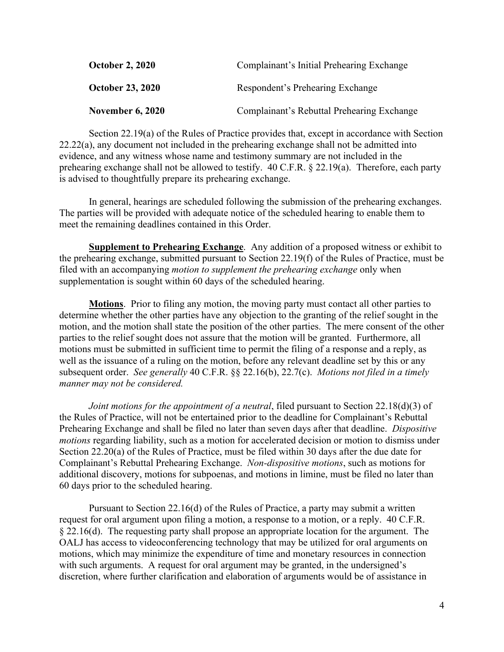| <b>October 2, 2020</b>  | Complainant's Initial Prehearing Exchange  |
|-------------------------|--------------------------------------------|
| <b>October 23, 2020</b> | Respondent's Prehearing Exchange           |
| <b>November 6, 2020</b> | Complainant's Rebuttal Prehearing Exchange |

 Section 22.19(a) of the Rules of Practice provides that, except in accordance with Section 22.22(a), any document not included in the prehearing exchange shall not be admitted into evidence, and any witness whose name and testimony summary are not included in the prehearing exchange shall not be allowed to testify. 40 C.F.R. § 22.19(a). Therefore, each party is advised to thoughtfully prepare its prehearing exchange.

In general, hearings are scheduled following the submission of the prehearing exchanges. The parties will be provided with adequate notice of the scheduled hearing to enable them to meet the remaining deadlines contained in this Order.

**Supplement to Prehearing Exchange**. Any addition of a proposed witness or exhibit to the prehearing exchange, submitted pursuant to Section 22.19(f) of the Rules of Practice, must be filed with an accompanying *motion to supplement the prehearing exchange* only when supplementation is sought within 60 days of the scheduled hearing.

**Motions**. Prior to filing any motion, the moving party must contact all other parties to determine whether the other parties have any objection to the granting of the relief sought in the motion, and the motion shall state the position of the other parties. The mere consent of the other parties to the relief sought does not assure that the motion will be granted. Furthermore, all motions must be submitted in sufficient time to permit the filing of a response and a reply, as well as the issuance of a ruling on the motion, before any relevant deadline set by this or any subsequent order. *See generally* 40 C.F.R. §§ 22.16(b), 22.7(c). *Motions not filed in a timely manner may not be considered.*

*Joint motions for the appointment of a neutral*, filed pursuant to Section 22.18(d)(3) of the Rules of Practice, will not be entertained prior to the deadline for Complainant's Rebuttal Prehearing Exchange and shall be filed no later than seven days after that deadline. *Dispositive motions* regarding liability, such as a motion for accelerated decision or motion to dismiss under Section 22.20(a) of the Rules of Practice, must be filed within 30 days after the due date for Complainant's Rebuttal Prehearing Exchange. *Non-dispositive motions*, such as motions for additional discovery, motions for subpoenas, and motions in limine, must be filed no later than 60 days prior to the scheduled hearing.

 Pursuant to Section 22.16(d) of the Rules of Practice, a party may submit a written request for oral argument upon filing a motion, a response to a motion, or a reply. 40 C.F.R. § 22.16(d). The requesting party shall propose an appropriate location for the argument. The OALJ has access to videoconferencing technology that may be utilized for oral arguments on motions, which may minimize the expenditure of time and monetary resources in connection with such arguments. A request for oral argument may be granted, in the undersigned's discretion, where further clarification and elaboration of arguments would be of assistance in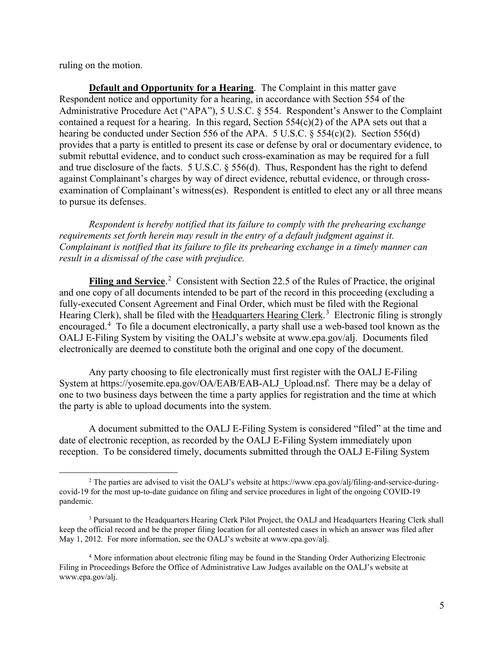ruling on the motion.

**Default and Opportunity for a Hearing**. The Complaint in this matter gave Respondent notice and opportunity for a hearing, in accordance with Section 554 of the Administrative Procedure Act ("APA"), 5 U.S.C. § 554. Respondent's Answer to the Complaint contained a request for a hearing. In this regard, Section 554(c)(2) of the APA sets out that a hearing be conducted under Section 556 of the APA. 5 U.S.C. § 554(c)(2). Section 556(d) provides that a party is entitled to present its case or defense by oral or documentary evidence, to submit rebuttal evidence, and to conduct such cross-examination as may be required for a full and true disclosure of the facts. 5 U.S.C. § 556(d). Thus, Respondent has the right to defend against Complainant's charges by way of direct evidence, rebuttal evidence, or through crossexamination of Complainant's witness(es). Respondent is entitled to elect any or all three means to pursue its defenses.

*Respondent is hereby notified that its failure to comply with the prehearing exchange requirements set forth herein may result in the entry of a default judgment against it. Complainant is notified that its failure to file its prehearing exchange in a timely manner can result in a dismissal of the case with prejudice.*

Filing and Service.<sup>2</sup> Consistent with Section 22.5 of the Rules of Practice, the original and one copy of all documents intended to be part of the record in this proceeding (excluding a fully-executed Consent Agreement and Final Order, which must be filed with the Regional Hearing Clerk), shall be filed with the Headquarters Hearing Clerk.<sup>3</sup> Electronic filing is strongly encouraged.<sup>4</sup> To file a document electronically, a party shall use a web-based tool known as the OALJ E-Filing System by visiting the OALJ's website at www.epa.gov/alj. Documents filed electronically are deemed to constitute both the original and one copy of the document.

Any party choosing to file electronically must first register with the OALJ E-Filing System at https://yosemite.epa.gov/OA/EAB/EAB-ALJ\_Upload.nsf. There may be a delay of one to two business days between the time a party applies for registration and the time at which the party is able to upload documents into the system.

A document submitted to the OALJ E-Filing System is considered "filed" at the time and date of electronic reception, as recorded by the OALJ E-Filing System immediately upon reception. To be considered timely, documents submitted through the OALJ E-Filing System

<sup>&</sup>lt;sup>2</sup> The parties are advised to visit the OALJ's website at https://www.epa.gov/alj/filing-and-service-duringcovid-19 for the most up-to-date guidance on filing and service procedures in light of the ongoing COVID-19 pandemic.

<sup>&</sup>lt;sup>3</sup> Pursuant to the Headquarters Hearing Clerk Pilot Project, the OALJ and Headquarters Hearing Clerk shall keep the official record and be the proper filing location for all contested cases in which an answer was filed after May 1, 2012. For more information, see the OALJ's website at www.epa.gov/alj.

<sup>4</sup> More information about electronic filing may be found in the Standing Order Authorizing Electronic Filing in Proceedings Before the Office of Administrative Law Judges available on the OALJ's website at www.epa.gov/alj.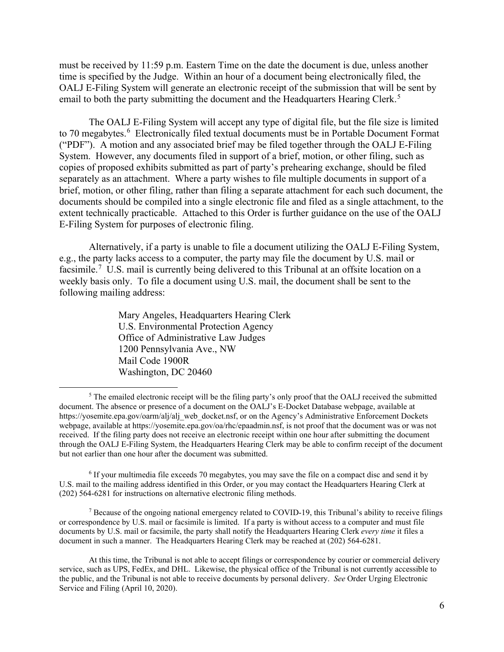must be received by 11:59 p.m. Eastern Time on the date the document is due, unless another time is specified by the Judge. Within an hour of a document being electronically filed, the OALJ E-Filing System will generate an electronic receipt of the submission that will be sent by email to both the party submitting the document and the Headquarters Hearing Clerk.<sup>5</sup>

The OALJ E-Filing System will accept any type of digital file, but the file size is limited to 70 megabytes.<sup>6</sup> Electronically filed textual documents must be in Portable Document Format ("PDF"). A motion and any associated brief may be filed together through the OALJ E-Filing System. However, any documents filed in support of a brief, motion, or other filing, such as copies of proposed exhibits submitted as part of party's prehearing exchange, should be filed separately as an attachment. Where a party wishes to file multiple documents in support of a brief, motion, or other filing, rather than filing a separate attachment for each such document, the documents should be compiled into a single electronic file and filed as a single attachment, to the extent technically practicable. Attached to this Order is further guidance on the use of the OALJ E-Filing System for purposes of electronic filing.

Alternatively, if a party is unable to file a document utilizing the OALJ E-Filing System, e.g., the party lacks access to a computer, the party may file the document by U.S. mail or facsimile.<sup>7</sup> U.S. mail is currently being delivered to this Tribunal at an offsite location on a weekly basis only. To file a document using U.S. mail, the document shall be sent to the following mailing address:

> Mary Angeles, Headquarters Hearing Clerk U.S. Environmental Protection Agency Office of Administrative Law Judges 1200 Pennsylvania Ave., NW Mail Code 1900R Washington, DC 20460

<sup>7</sup> Because of the ongoing national emergency related to COVID-19, this Tribunal's ability to receive filings or correspondence by U.S. mail or facsimile is limited. If a party is without access to a computer and must file documents by U.S. mail or facsimile, the party shall notify the Headquarters Hearing Clerk *every time* it files a document in such a manner. The Headquarters Hearing Clerk may be reached at (202) 564-6281.

 $<sup>5</sup>$  The emailed electronic receipt will be the filing party's only proof that the OALJ received the submitted</sup> document. The absence or presence of a document on the OALJ's E-Docket Database webpage, available at https://yosemite.epa.gov/oarm/alj/alj\_web\_docket.nsf, or on the Agency's Administrative Enforcement Dockets webpage, available at https://yosemite.epa.gov/oa/rhc/epaadmin.nsf, is not proof that the document was or was not received. If the filing party does not receive an electronic receipt within one hour after submitting the document through the OALJ E-Filing System, the Headquarters Hearing Clerk may be able to confirm receipt of the document but not earlier than one hour after the document was submitted.

<sup>6</sup> If your multimedia file exceeds 70 megabytes, you may save the file on a compact disc and send it by U.S. mail to the mailing address identified in this Order, or you may contact the Headquarters Hearing Clerk at (202) 564-6281 for instructions on alternative electronic filing methods.

At this time, the Tribunal is not able to accept filings or correspondence by courier or commercial delivery service, such as UPS, FedEx, and DHL. Likewise, the physical office of the Tribunal is not currently accessible to the public, and the Tribunal is not able to receive documents by personal delivery. *See* Order Urging Electronic Service and Filing (April 10, 2020).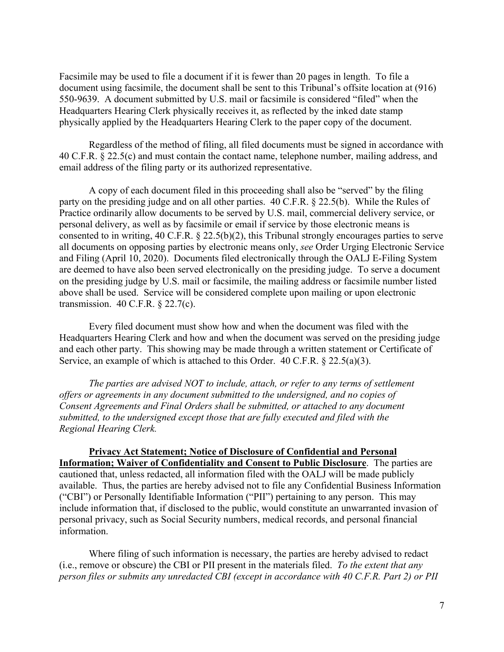Facsimile may be used to file a document if it is fewer than 20 pages in length. To file a document using facsimile, the document shall be sent to this Tribunal's offsite location at (916) 550-9639. A document submitted by U.S. mail or facsimile is considered "filed" when the Headquarters Hearing Clerk physically receives it, as reflected by the inked date stamp physically applied by the Headquarters Hearing Clerk to the paper copy of the document.

Regardless of the method of filing, all filed documents must be signed in accordance with 40 C.F.R. § 22.5(c) and must contain the contact name, telephone number, mailing address, and email address of the filing party or its authorized representative.

 A copy of each document filed in this proceeding shall also be "served" by the filing party on the presiding judge and on all other parties. 40 C.F.R. § 22.5(b). While the Rules of Practice ordinarily allow documents to be served by U.S. mail, commercial delivery service, or personal delivery, as well as by facsimile or email if service by those electronic means is consented to in writing, 40 C.F.R. § 22.5(b)(2), this Tribunal strongly encourages parties to serve all documents on opposing parties by electronic means only, *see* Order Urging Electronic Service and Filing (April 10, 2020). Documents filed electronically through the OALJ E-Filing System are deemed to have also been served electronically on the presiding judge. To serve a document on the presiding judge by U.S. mail or facsimile, the mailing address or facsimile number listed above shall be used. Service will be considered complete upon mailing or upon electronic transmission. 40 C.F.R. § 22.7(c).

Every filed document must show how and when the document was filed with the Headquarters Hearing Clerk and how and when the document was served on the presiding judge and each other party. This showing may be made through a written statement or Certificate of Service, an example of which is attached to this Order. 40 C.F.R. § 22.5(a)(3).

*The parties are advised NOT to include, attach, or refer to any terms of settlement offers or agreements in any document submitted to the undersigned, and no copies of Consent Agreements and Final Orders shall be submitted, or attached to any document submitted, to the undersigned except those that are fully executed and filed with the Regional Hearing Clerk.* 

**Privacy Act Statement; Notice of Disclosure of Confidential and Personal Information; Waiver of Confidentiality and Consent to Public Disclosure**.The parties are cautioned that, unless redacted, all information filed with the OALJ will be made publicly available. Thus, the parties are hereby advised not to file any Confidential Business Information ("CBI") or Personally Identifiable Information ("PII") pertaining to any person. This may include information that, if disclosed to the public, would constitute an unwarranted invasion of personal privacy, such as Social Security numbers, medical records, and personal financial information.

Where filing of such information is necessary, the parties are hereby advised to redact (i.e., remove or obscure) the CBI or PII present in the materials filed. *To the extent that any person files or submits any unredacted CBI (except in accordance with 40 C.F.R. Part 2) or PII*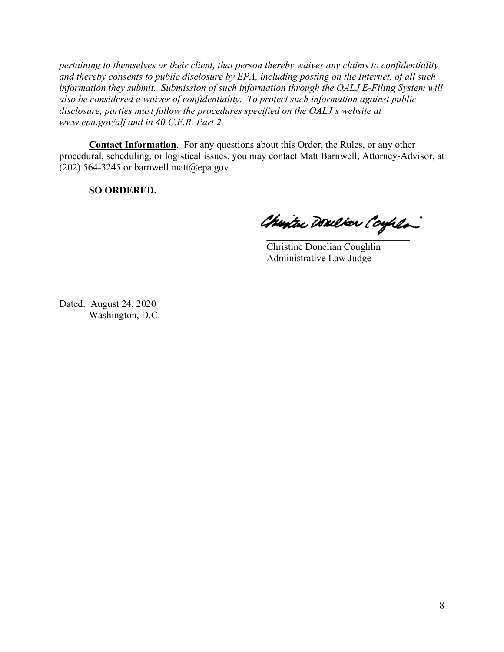*pertaining to themselves or their client, that person thereby waives any claims to confidentiality and thereby consents to public disclosure by EPA, including posting on the Internet, of all such information they submit. Submission of such information through the OALJ E-Filing System will also be considered a waiver of confidentiality. To protect such information against public disclosure, parties must follow the procedures specified on the OALJ's website at www.epa.gov/alj and in 40 C.F.R. Part 2.*

**Contact Information**. For any questions about this Order, the Rules, or any other procedural, scheduling, or logistical issues, you may contact Matt Barnwell, Attorney-Advisor, at (202) 564-3245 or barnwell.matt@epa.gov.

**SO ORDERED.**

Chartu Doulion Coyhla

Christine Donelian Coughlin Administrative Law Judge

Dated: August 24, 2020 Washington, D.C.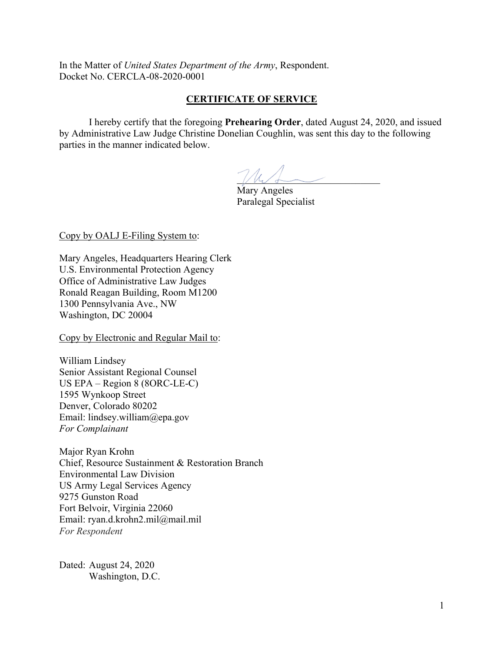In the Matter of *United States Department of the Army*, Respondent. Docket No. CERCLA-08-2020-0001

## **CERTIFICATE OF SERVICE**

 I hereby certify that the foregoing **Prehearing Order**, dated August 24, 2020, and issued by Administrative Law Judge Christine Donelian Coughlin, was sent this day to the following parties in the manner indicated below.

 $\sqrt{\mathcal{W}}$ 

 Mary Angeles Paralegal Specialist

#### Copy by OALJ E-Filing System to:

Mary Angeles, Headquarters Hearing Clerk U.S. Environmental Protection Agency Office of Administrative Law Judges Ronald Reagan Building, Room M1200 1300 Pennsylvania Ave., NW Washington, DC 20004

Copy by Electronic and Regular Mail to:

William Lindsey Senior Assistant Regional Counsel US EPA – Region 8 (8ORC-LE-C) 1595 Wynkoop Street Denver, Colorado 80202 Email: lindsey.william@epa.gov *For Complainant* 

Major Ryan Krohn Chief, Resource Sustainment & Restoration Branch Environmental Law Division US Army Legal Services Agency 9275 Gunston Road Fort Belvoir, Virginia 22060 Email: ryan.d.krohn2.mil@mail.mil *For Respondent*

Dated: August 24, 2020 Washington, D.C.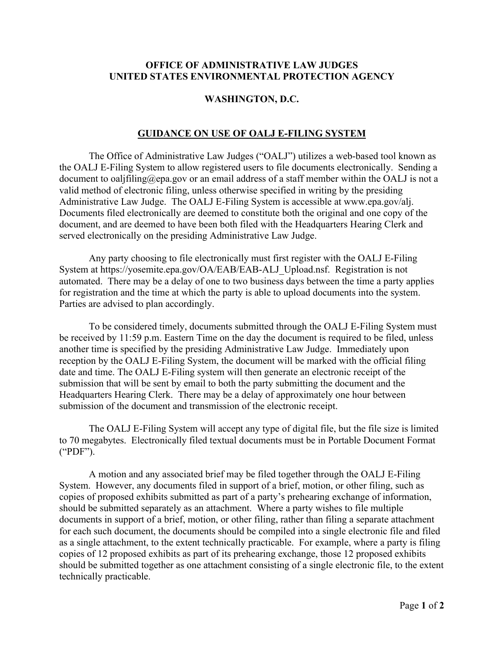#### **OFFICE OF ADMINISTRATIVE LAW JUDGES UNITED STATES ENVIRONMENTAL PROTECTION AGENCY**

#### **WASHINGTON, D.C.**

### **GUIDANCE ON USE OF OALJ E-FILING SYSTEM**

The Office of Administrative Law Judges ("OALJ") utilizes a web-based tool known as the OALJ E-Filing System to allow registered users to file documents electronically. Sending a document to oaljfiling@epa.gov or an email address of a staff member within the OALJ is not a valid method of electronic filing, unless otherwise specified in writing by the presiding Administrative Law Judge. The OALJ E-Filing System is accessible at www.epa.gov/alj. Documents filed electronically are deemed to constitute both the original and one copy of the document, and are deemed to have been both filed with the Headquarters Hearing Clerk and served electronically on the presiding Administrative Law Judge.

Any party choosing to file electronically must first register with the OALJ E-Filing System at https://yosemite.epa.gov/OA/EAB/EAB-ALJ\_Upload.nsf. Registration is not automated. There may be a delay of one to two business days between the time a party applies for registration and the time at which the party is able to upload documents into the system. Parties are advised to plan accordingly.

To be considered timely, documents submitted through the OALJ E-Filing System must be received by 11:59 p.m. Eastern Time on the day the document is required to be filed, unless another time is specified by the presiding Administrative Law Judge. Immediately upon reception by the OALJ E-Filing System, the document will be marked with the official filing date and time. The OALJ E-Filing system will then generate an electronic receipt of the submission that will be sent by email to both the party submitting the document and the Headquarters Hearing Clerk. There may be a delay of approximately one hour between submission of the document and transmission of the electronic receipt.

The OALJ E-Filing System will accept any type of digital file, but the file size is limited to 70 megabytes. Electronically filed textual documents must be in Portable Document Format ("PDF").

A motion and any associated brief may be filed together through the OALJ E-Filing System. However, any documents filed in support of a brief, motion, or other filing, such as copies of proposed exhibits submitted as part of a party's prehearing exchange of information, should be submitted separately as an attachment. Where a party wishes to file multiple documents in support of a brief, motion, or other filing, rather than filing a separate attachment for each such document, the documents should be compiled into a single electronic file and filed as a single attachment, to the extent technically practicable. For example, where a party is filing copies of 12 proposed exhibits as part of its prehearing exchange, those 12 proposed exhibits should be submitted together as one attachment consisting of a single electronic file, to the extent technically practicable.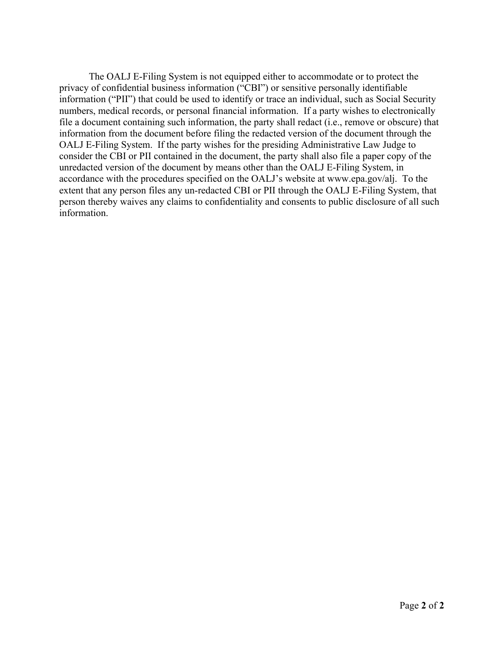The OALJ E-Filing System is not equipped either to accommodate or to protect the privacy of confidential business information ("CBI") or sensitive personally identifiable information ("PII") that could be used to identify or trace an individual, such as Social Security numbers, medical records, or personal financial information. If a party wishes to electronically file a document containing such information, the party shall redact (i.e., remove or obscure) that information from the document before filing the redacted version of the document through the OALJ E-Filing System. If the party wishes for the presiding Administrative Law Judge to consider the CBI or PII contained in the document, the party shall also file a paper copy of the unredacted version of the document by means other than the OALJ E-Filing System, in accordance with the procedures specified on the OALJ's website at www.epa.gov/alj. To the extent that any person files any un-redacted CBI or PII through the OALJ E-Filing System, that person thereby waives any claims to confidentiality and consents to public disclosure of all such information.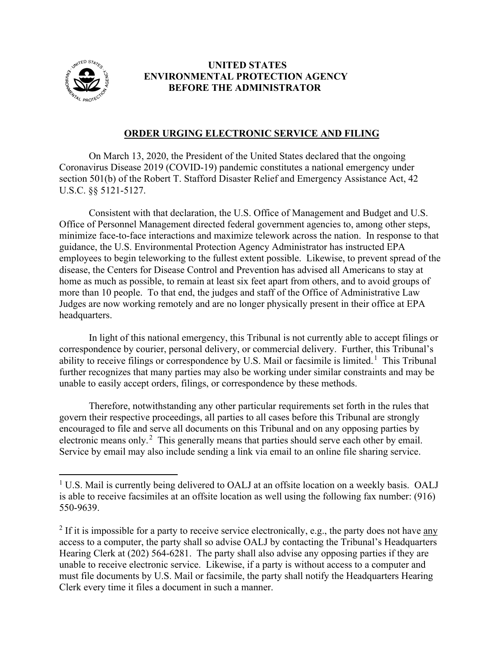

## **UNITED STATES ENVIRONMENTAL PROTECTION AGENCY BEFORE THE ADMINISTRATOR**

# **ORDER URGING ELECTRONIC SERVICE AND FILING**

On March 13, 2020, the President of the United States declared that the ongoing Coronavirus Disease 2019 (COVID-19) pandemic constitutes a national emergency under section 501(b) of the Robert T. Stafford Disaster Relief and Emergency Assistance Act, 42 U.S.C. §§ 5121-5127.

Consistent with that declaration, the U.S. Office of Management and Budget and U.S. Office of Personnel Management directed federal government agencies to, among other steps, minimize face-to-face interactions and maximize telework across the nation. In response to that guidance, the U.S. Environmental Protection Agency Administrator has instructed EPA employees to begin teleworking to the fullest extent possible. Likewise, to prevent spread of the disease, the Centers for Disease Control and Prevention has advised all Americans to stay at home as much as possible, to remain at least six feet apart from others, and to avoid groups of more than 10 people. To that end, the judges and staff of the Office of Administrative Law Judges are now working remotely and are no longer physically present in their office at EPA headquarters.

In light of this national emergency, this Tribunal is not currently able to accept filings or correspondence by courier, personal delivery, or commercial delivery. Further, this Tribunal's ability to receive filings or correspondence by U.S. Mail or facsimile is limited.<sup>1</sup> This Tribunal further recognizes that many parties may also be working under similar constraints and may be unable to easily accept orders, filings, or correspondence by these methods.

Therefore, notwithstanding any other particular requirements set forth in the rules that govern their respective proceedings, all parties to all cases before this Tribunal are strongly encouraged to file and serve all documents on this Tribunal and on any opposing parties by electronic means only.<sup>2</sup> This generally means that parties should serve each other by email. Service by email may also include sending a link via email to an online file sharing service.

<sup>&</sup>lt;sup>1</sup> U.S. Mail is currently being delivered to OALJ at an offsite location on a weekly basis. OALJ is able to receive facsimiles at an offsite location as well using the following fax number: (916) 550-9639.

<sup>&</sup>lt;sup>2</sup> If it is impossible for a party to receive service electronically, e.g., the party does not have  $\frac{any}{$ access to a computer, the party shall so advise OALJ by contacting the Tribunal's Headquarters Hearing Clerk at (202) 564-6281. The party shall also advise any opposing parties if they are unable to receive electronic service. Likewise, if a party is without access to a computer and must file documents by U.S. Mail or facsimile, the party shall notify the Headquarters Hearing Clerk every time it files a document in such a manner.